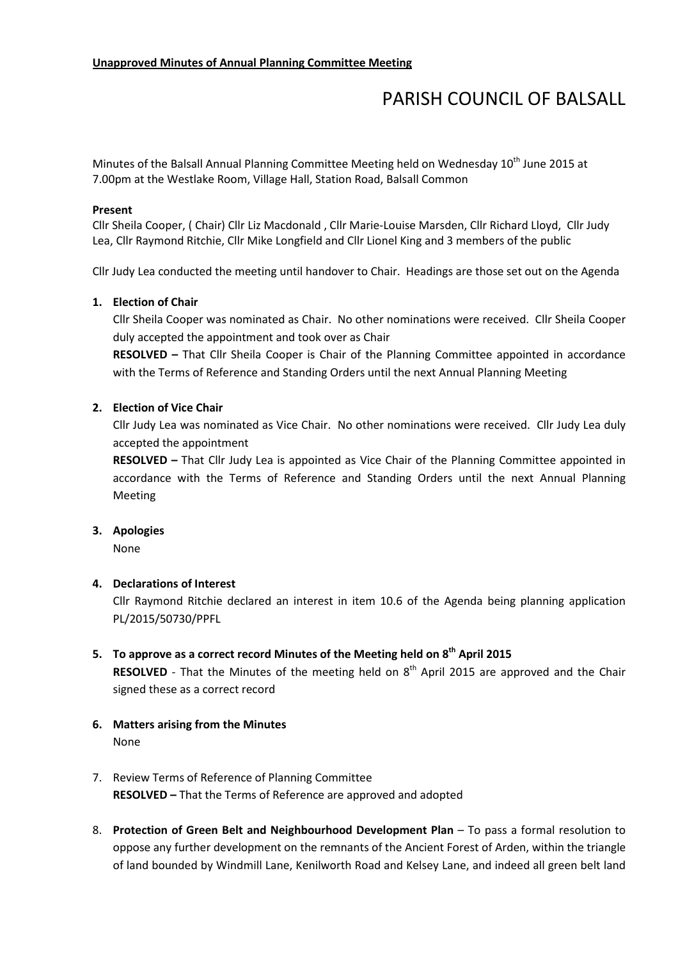# PARISH COUNCIL OF BALSALL

Minutes of the Balsall Annual Planning Committee Meeting held on Wednesday 10<sup>th</sup> June 2015 at 7.00pm at the Westlake Room, Village Hall, Station Road, Balsall Common

### Present

Cllr Sheila Cooper, ( Chair) Cllr Liz Macdonald , Cllr Marie-Louise Marsden, Cllr Richard Lloyd, Cllr Judy Lea, Cllr Raymond Ritchie, Cllr Mike Longfield and Cllr Lionel King and 3 members of the public

Cllr Judy Lea conducted the meeting until handover to Chair. Headings are those set out on the Agenda

### 1. Election of Chair

Cllr Sheila Cooper was nominated as Chair. No other nominations were received. Cllr Sheila Cooper duly accepted the appointment and took over as Chair

RESOLVED – That Cllr Sheila Cooper is Chair of the Planning Committee appointed in accordance with the Terms of Reference and Standing Orders until the next Annual Planning Meeting

### 2. Election of Vice Chair

Cllr Judy Lea was nominated as Vice Chair. No other nominations were received. Cllr Judy Lea duly accepted the appointment

RESOLVED – That Cllr Judy Lea is appointed as Vice Chair of the Planning Committee appointed in accordance with the Terms of Reference and Standing Orders until the next Annual Planning Meeting

#### 3. Apologies

None

### 4. Declarations of Interest

Cllr Raymond Ritchie declared an interest in item 10.6 of the Agenda being planning application PL/2015/50730/PPFL

# 5. To approve as a correct record Minutes of the Meeting held on  $8<sup>th</sup>$  April 2015

**RESOLVED** - That the Minutes of the meeting held on  $8<sup>th</sup>$  April 2015 are approved and the Chair signed these as a correct record

- 6. Matters arising from the Minutes None
- 7. Review Terms of Reference of Planning Committee RESOLVED – That the Terms of Reference are approved and adopted
- 8. Protection of Green Belt and Neighbourhood Development Plan To pass a formal resolution to oppose any further development on the remnants of the Ancient Forest of Arden, within the triangle of land bounded by Windmill Lane, Kenilworth Road and Kelsey Lane, and indeed all green belt land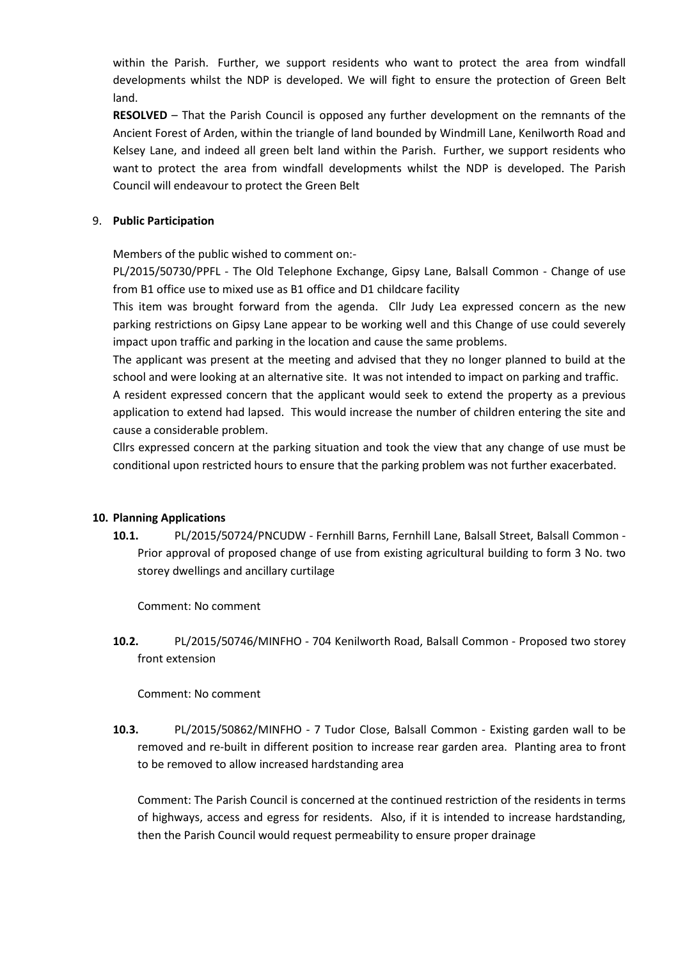within the Parish. Further, we support residents who want to protect the area from windfall developments whilst the NDP is developed. We will fight to ensure the protection of Green Belt land.

RESOLVED – That the Parish Council is opposed any further development on the remnants of the Ancient Forest of Arden, within the triangle of land bounded by Windmill Lane, Kenilworth Road and Kelsey Lane, and indeed all green belt land within the Parish. Further, we support residents who want to protect the area from windfall developments whilst the NDP is developed. The Parish Council will endeavour to protect the Green Belt

# 9. Public Participation

Members of the public wished to comment on:-

PL/2015/50730/PPFL - The Old Telephone Exchange, Gipsy Lane, Balsall Common - Change of use from B1 office use to mixed use as B1 office and D1 childcare facility

This item was brought forward from the agenda. Cllr Judy Lea expressed concern as the new parking restrictions on Gipsy Lane appear to be working well and this Change of use could severely impact upon traffic and parking in the location and cause the same problems.

The applicant was present at the meeting and advised that they no longer planned to build at the school and were looking at an alternative site. It was not intended to impact on parking and traffic.

A resident expressed concern that the applicant would seek to extend the property as a previous application to extend had lapsed. This would increase the number of children entering the site and cause a considerable problem.

Cllrs expressed concern at the parking situation and took the view that any change of use must be conditional upon restricted hours to ensure that the parking problem was not further exacerbated.

## 10. Planning Applications

10.1. PL/2015/50724/PNCUDW - Fernhill Barns, Fernhill Lane, Balsall Street, Balsall Common - Prior approval of proposed change of use from existing agricultural building to form 3 No. two storey dwellings and ancillary curtilage

Comment: No comment

10.2. PL/2015/50746/MINFHO - 704 Kenilworth Road, Balsall Common - Proposed two storey front extension

## Comment: No comment

10.3. PL/2015/50862/MINFHO - 7 Tudor Close, Balsall Common - Existing garden wall to be removed and re-built in different position to increase rear garden area. Planting area to front to be removed to allow increased hardstanding area

Comment: The Parish Council is concerned at the continued restriction of the residents in terms of highways, access and egress for residents. Also, if it is intended to increase hardstanding, then the Parish Council would request permeability to ensure proper drainage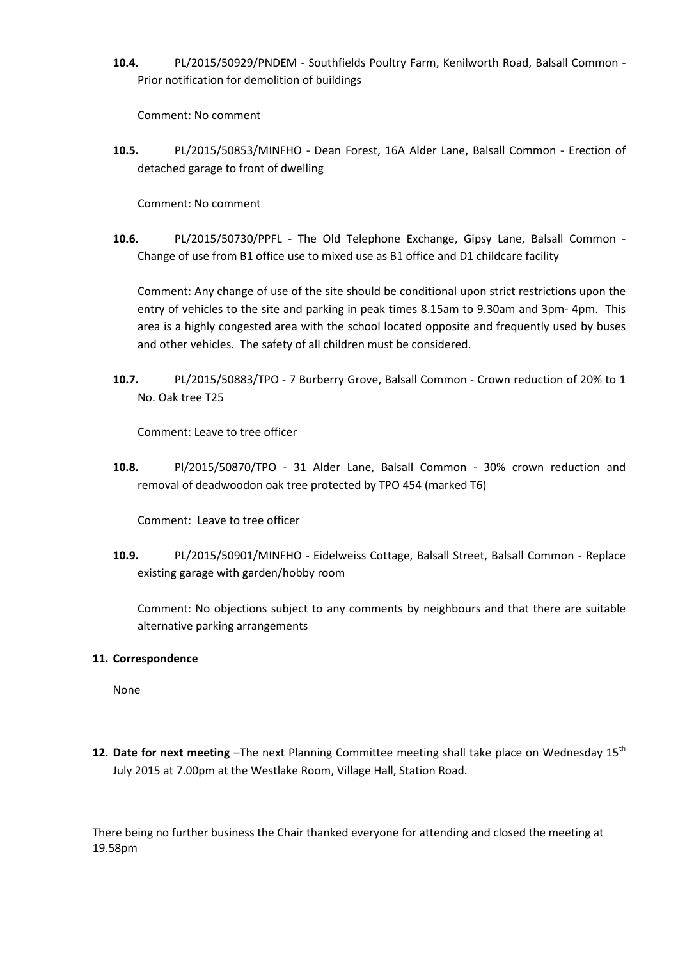10.4. PL/2015/50929/PNDEM - Southfields Poultry Farm, Kenilworth Road, Balsall Common - Prior notification for demolition of buildings

Comment: No comment

10.5. PL/2015/50853/MINFHO - Dean Forest, 16A Alder Lane, Balsall Common - Erection of detached garage to front of dwelling

Comment: No comment

10.6. PL/2015/50730/PPFL - The Old Telephone Exchange, Gipsy Lane, Balsall Common - Change of use from B1 office use to mixed use as B1 office and D1 childcare facility

Comment: Any change of use of the site should be conditional upon strict restrictions upon the entry of vehicles to the site and parking in peak times 8.15am to 9.30am and 3pm- 4pm. This area is a highly congested area with the school located opposite and frequently used by buses and other vehicles. The safety of all children must be considered.

10.7. PL/2015/50883/TPO - 7 Burberry Grove, Balsall Common - Crown reduction of 20% to 1 No. Oak tree T25

Comment: Leave to tree officer

10.8. Pl/2015/50870/TPO - 31 Alder Lane, Balsall Common - 30% crown reduction and removal of deadwoodon oak tree protected by TPO 454 (marked T6)

Comment: Leave to tree officer

10.9. PL/2015/50901/MINFHO - Eidelweiss Cottage, Balsall Street, Balsall Common - Replace existing garage with garden/hobby room

Comment: No objections subject to any comments by neighbours and that there are suitable alternative parking arrangements

## 11. Correspondence

None

12. Date for next meeting  $-$ The next Planning Committee meeting shall take place on Wednesday 15<sup>th</sup> July 2015 at 7.00pm at the Westlake Room, Village Hall, Station Road.

There being no further business the Chair thanked everyone for attending and closed the meeting at 19.58pm